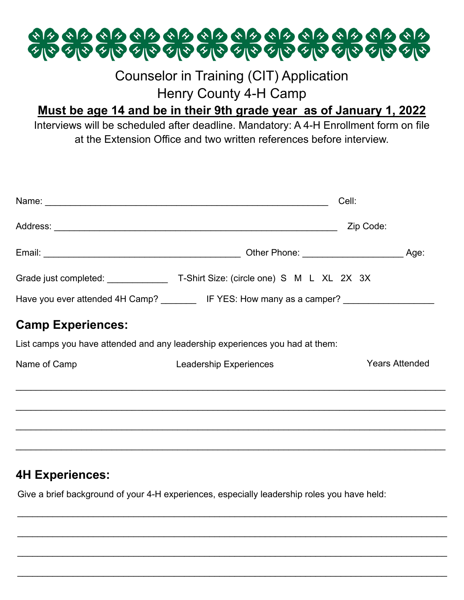

## Counselor in Training (CIT) Application Henry County 4-H Camp

### **Must be age 14 and be in their 9th grade year as of January 1, 2022**

Interviews will be scheduled after deadline. Mandatory: A 4-H Enrollment form on file at the Extension Office and two written references before interview.

| Name: Name: Name: Name: Name: Name: Name: Name: Name: Name: Name: Name: Name: Name: Name: Name: Name: Name: Name: Name: Name: Name: Name: Name: Name: Name: Name: Name: Name: Name: Name: Name: Name: Name: Name: Name: Name: | Cell:                                                         |                       |
|-------------------------------------------------------------------------------------------------------------------------------------------------------------------------------------------------------------------------------|---------------------------------------------------------------|-----------------------|
|                                                                                                                                                                                                                               | Zip Code:                                                     |                       |
|                                                                                                                                                                                                                               | Other Phone: ______________________                           | Age:                  |
|                                                                                                                                                                                                                               |                                                               |                       |
|                                                                                                                                                                                                                               | Have you ever attended 4H Camp? IF YES: How many as a camper? |                       |
| <b>Camp Experiences:</b>                                                                                                                                                                                                      |                                                               |                       |
| List camps you have attended and any leadership experiences you had at them:                                                                                                                                                  |                                                               |                       |
| Name of Camp                                                                                                                                                                                                                  | <b>Leadership Experiences</b>                                 | <b>Years Attended</b> |
|                                                                                                                                                                                                                               |                                                               |                       |
|                                                                                                                                                                                                                               |                                                               |                       |
|                                                                                                                                                                                                                               |                                                               |                       |
|                                                                                                                                                                                                                               |                                                               |                       |

#### **4H Experiences:**

Give a brief background of your 4-H experiences, especially leadership roles you have held:

 $\mathcal{L}_\mathcal{L} = \mathcal{L}_\mathcal{L} = \mathcal{L}_\mathcal{L} = \mathcal{L}_\mathcal{L} = \mathcal{L}_\mathcal{L} = \mathcal{L}_\mathcal{L} = \mathcal{L}_\mathcal{L} = \mathcal{L}_\mathcal{L} = \mathcal{L}_\mathcal{L} = \mathcal{L}_\mathcal{L} = \mathcal{L}_\mathcal{L} = \mathcal{L}_\mathcal{L} = \mathcal{L}_\mathcal{L} = \mathcal{L}_\mathcal{L} = \mathcal{L}_\mathcal{L} = \mathcal{L}_\mathcal{L} = \mathcal{L}_\mathcal{L}$ 

 $\mathcal{L}_\text{G}$  , and the contribution of the contribution of the contribution of the contribution of the contribution of the contribution of the contribution of the contribution of the contribution of the contribution of t

 $\mathcal{L}_\mathcal{L} = \mathcal{L}_\mathcal{L} = \mathcal{L}_\mathcal{L} = \mathcal{L}_\mathcal{L} = \mathcal{L}_\mathcal{L} = \mathcal{L}_\mathcal{L} = \mathcal{L}_\mathcal{L} = \mathcal{L}_\mathcal{L} = \mathcal{L}_\mathcal{L} = \mathcal{L}_\mathcal{L} = \mathcal{L}_\mathcal{L} = \mathcal{L}_\mathcal{L} = \mathcal{L}_\mathcal{L} = \mathcal{L}_\mathcal{L} = \mathcal{L}_\mathcal{L} = \mathcal{L}_\mathcal{L} = \mathcal{L}_\mathcal{L}$ 

 $\mathcal{L}_\mathcal{L} = \mathcal{L}_\mathcal{L} = \mathcal{L}_\mathcal{L} = \mathcal{L}_\mathcal{L} = \mathcal{L}_\mathcal{L} = \mathcal{L}_\mathcal{L} = \mathcal{L}_\mathcal{L} = \mathcal{L}_\mathcal{L} = \mathcal{L}_\mathcal{L} = \mathcal{L}_\mathcal{L} = \mathcal{L}_\mathcal{L} = \mathcal{L}_\mathcal{L} = \mathcal{L}_\mathcal{L} = \mathcal{L}_\mathcal{L} = \mathcal{L}_\mathcal{L} = \mathcal{L}_\mathcal{L} = \mathcal{L}_\mathcal{L}$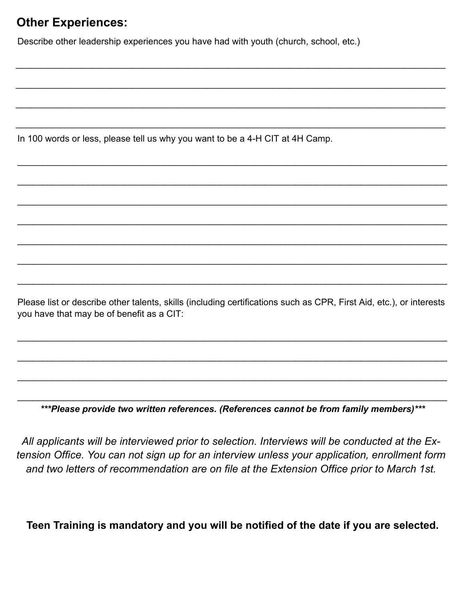#### **Other Experiences:**

Describe other leadership experiences you have had with youth (church, school, etc.)

 $\_$  , and the set of the set of the set of the set of the set of the set of the set of the set of the set of the set of the set of the set of the set of the set of the set of the set of the set of the set of the set of th

 $\_$  , and the contribution of the contribution of the contribution of the contribution of  $\mathcal{L}_\text{max}$ 

 $\_$  , and the contribution of the contribution of the contribution of the contribution of  $\mathcal{L}_\text{max}$ 

 $\_$  , and the set of the set of the set of the set of the set of the set of the set of the set of the set of the set of the set of the set of the set of the set of the set of the set of the set of the set of the set of th

 $\mathcal{L}_\mathcal{L} = \mathcal{L}_\mathcal{L} = \mathcal{L}_\mathcal{L} = \mathcal{L}_\mathcal{L} = \mathcal{L}_\mathcal{L} = \mathcal{L}_\mathcal{L} = \mathcal{L}_\mathcal{L} = \mathcal{L}_\mathcal{L} = \mathcal{L}_\mathcal{L} = \mathcal{L}_\mathcal{L} = \mathcal{L}_\mathcal{L} = \mathcal{L}_\mathcal{L} = \mathcal{L}_\mathcal{L} = \mathcal{L}_\mathcal{L} = \mathcal{L}_\mathcal{L} = \mathcal{L}_\mathcal{L} = \mathcal{L}_\mathcal{L}$ 

 $\mathcal{L}_\mathcal{L} = \mathcal{L}_\mathcal{L} = \mathcal{L}_\mathcal{L} = \mathcal{L}_\mathcal{L} = \mathcal{L}_\mathcal{L} = \mathcal{L}_\mathcal{L} = \mathcal{L}_\mathcal{L} = \mathcal{L}_\mathcal{L} = \mathcal{L}_\mathcal{L} = \mathcal{L}_\mathcal{L} = \mathcal{L}_\mathcal{L} = \mathcal{L}_\mathcal{L} = \mathcal{L}_\mathcal{L} = \mathcal{L}_\mathcal{L} = \mathcal{L}_\mathcal{L} = \mathcal{L}_\mathcal{L} = \mathcal{L}_\mathcal{L}$ 

 $\mathcal{L}_\text{G}$  , and the contribution of the contribution of the contribution of the contribution of the contribution of the contribution of the contribution of the contribution of the contribution of the contribution of t

 $\mathcal{L}_\mathcal{L} = \mathcal{L}_\mathcal{L} = \mathcal{L}_\mathcal{L} = \mathcal{L}_\mathcal{L} = \mathcal{L}_\mathcal{L} = \mathcal{L}_\mathcal{L} = \mathcal{L}_\mathcal{L} = \mathcal{L}_\mathcal{L} = \mathcal{L}_\mathcal{L} = \mathcal{L}_\mathcal{L} = \mathcal{L}_\mathcal{L} = \mathcal{L}_\mathcal{L} = \mathcal{L}_\mathcal{L} = \mathcal{L}_\mathcal{L} = \mathcal{L}_\mathcal{L} = \mathcal{L}_\mathcal{L} = \mathcal{L}_\mathcal{L}$ 

 $\mathcal{L}_\text{G}$  , and the contribution of the contribution of the contribution of the contribution of the contribution of the contribution of the contribution of the contribution of the contribution of the contribution of t

 $\mathcal{L}_\text{G}$  , and the contribution of the contribution of the contribution of the contribution of the contribution of the contribution of the contribution of the contribution of the contribution of the contribution of t

 $\mathcal{L}_\mathcal{L} = \mathcal{L}_\mathcal{L} = \mathcal{L}_\mathcal{L} = \mathcal{L}_\mathcal{L} = \mathcal{L}_\mathcal{L} = \mathcal{L}_\mathcal{L} = \mathcal{L}_\mathcal{L} = \mathcal{L}_\mathcal{L} = \mathcal{L}_\mathcal{L} = \mathcal{L}_\mathcal{L} = \mathcal{L}_\mathcal{L} = \mathcal{L}_\mathcal{L} = \mathcal{L}_\mathcal{L} = \mathcal{L}_\mathcal{L} = \mathcal{L}_\mathcal{L} = \mathcal{L}_\mathcal{L} = \mathcal{L}_\mathcal{L}$ 

In 100 words or less, please tell us why you want to be a 4-H CIT at 4H Camp.

Please list or describe other talents, skills (including certifications such as CPR, First Aid, etc.), or interests you have that may be of benefit as a CIT:

 $\mathcal{L}_\mathcal{L} = \{ \mathcal{L}_\mathcal{L} = \{ \mathcal{L}_\mathcal{L} = \{ \mathcal{L}_\mathcal{L} = \{ \mathcal{L}_\mathcal{L} = \{ \mathcal{L}_\mathcal{L} = \{ \mathcal{L}_\mathcal{L} = \{ \mathcal{L}_\mathcal{L} = \{ \mathcal{L}_\mathcal{L} = \{ \mathcal{L}_\mathcal{L} = \{ \mathcal{L}_\mathcal{L} = \{ \mathcal{L}_\mathcal{L} = \{ \mathcal{L}_\mathcal{L} = \{ \mathcal{L}_\mathcal{L} = \{ \mathcal{L}_\mathcal{$ 

 $\mathcal{L}_\text{G}$  , and the contribution of the contribution of the contribution of the contribution of the contribution of the contribution of the contribution of the contribution of the contribution of the contribution of t

 $\mathcal{L}_\mathcal{L} = \mathcal{L}_\mathcal{L} = \mathcal{L}_\mathcal{L} = \mathcal{L}_\mathcal{L} = \mathcal{L}_\mathcal{L} = \mathcal{L}_\mathcal{L} = \mathcal{L}_\mathcal{L} = \mathcal{L}_\mathcal{L} = \mathcal{L}_\mathcal{L} = \mathcal{L}_\mathcal{L} = \mathcal{L}_\mathcal{L} = \mathcal{L}_\mathcal{L} = \mathcal{L}_\mathcal{L} = \mathcal{L}_\mathcal{L} = \mathcal{L}_\mathcal{L} = \mathcal{L}_\mathcal{L} = \mathcal{L}_\mathcal{L}$ 

 $\mathcal{L}_\text{G}$  , and the contribution of the contribution of the contribution of the contribution of the contribution of the contribution of the contribution of the contribution of the contribution of the contribution of t *\*\*\*Please provide two written references. (References cannot be from family members)\*\*\** 

*All applicants will be interviewed prior to selection. Interviews will be conducted at the Extension Office. You can not sign up for an interview unless your application, enrollment form and two letters of recommendation are on file at the Extension Office prior to March 1st.* 

**Teen Training is mandatory and you will be notified of the date if you are selected.**